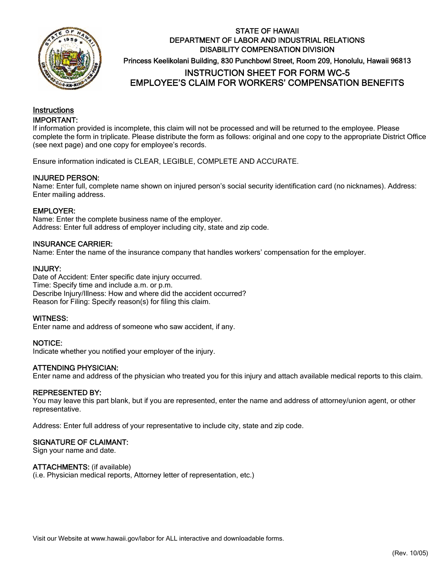

# STATE OF HAWAII DEPARTMENT OF LABOR AND INDUSTRIAL RELATIONS DISABILITY COMPENSATION DIVISION Princess Keelikolani Building, 830 Punchbowl Street, Room 209, Honolulu, Hawaii 96813 INSTRUCTION SHEET FOR FORM WC-5 EMPLOYEE'S CLAIM FOR WORKERS' COMPENSATION BENEFITS

# **Instructions** IMPORTANT:

If information provided is incomplete, this claim will not be processed and will be returned to the employee. Please complete the form in triplicate. Please distribute the form as follows: original and one copy to the appropriate District Office (see next page) and one copy for employee's records.

Ensure information indicated is CLEAR, LEGIBLE, COMPLETE AND ACCURATE.

## INJURED PERSON:

Name: Enter full, complete name shown on injured person's social security identification card (no nicknames). Address: Enter mailing address.

## EMPLOYER:

Name: Enter the complete business name of the employer. Address: Enter full address of employer including city, state and zip code.

## INSURANCE CARRIER:

Name: Enter the name of the insurance company that handles workers' compensation for the employer.

#### INJURY:

Date of Accident: Enter specific date injury occurred. Time: Specify time and include a.m. or p.m. Describe Injury/Illness: How and where did the accident occurred? Reason for Filing: Specify reason(s) for filing this claim.

#### WITNESS:

Enter name and address of someone who saw accident, if any.

#### NOTICE:

Indicate whether you notified your employer of the injury.

#### ATTENDING PHYSICIAN:

Enter name and address of the physician who treated you for this injury and attach available medical reports to this claim.

#### REPRESENTED BY:

You may leave this part blank, but if you are represented, enter the name and address of attorney/union agent, or other representative.

Address: Enter full address of your representative to include city, state and zip code.

#### SIGNATURE OF CLAIMANT:

Sign your name and date.

#### ATTACHMENTS: (if available)

(i.e. Physician medical reports, Attorney letter of representation, etc.)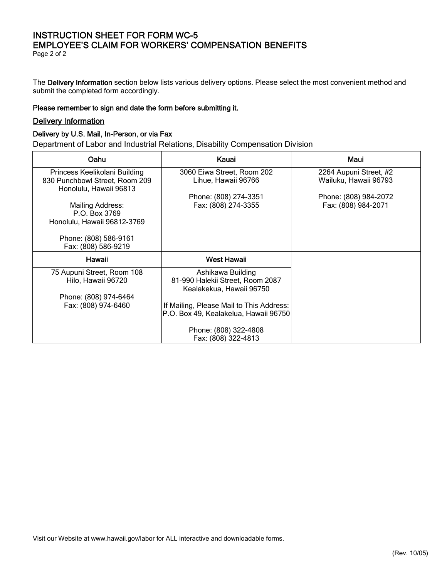# INSTRUCTION SHEET FOR FORM WC-5 EMPLOYEE'S CLAIM FOR WORKERS' COMPENSATION BENEFITS

Page 2 of 2

The Delivery Information section below lists various delivery options. Please select the most convenient method and submit the completed form accordingly.

#### Please remember to sign and date the form before submitting it.

#### Delivery Information

## Delivery by U.S. Mail, In-Person, or via Fax

Department of Labor and Industrial Relations, Disability Compensation Division

| Oahu                                                                                             | Kauai                                                                                                                         | Maui                                            |
|--------------------------------------------------------------------------------------------------|-------------------------------------------------------------------------------------------------------------------------------|-------------------------------------------------|
| Princess Keelikolani Building<br>830 Punchbowl Street, Room 209<br>Honolulu, Hawaii 96813        | 3060 Eiwa Street, Room 202<br>Lihue, Hawaii 96766                                                                             | 2264 Aupuni Street, #2<br>Wailuku, Hawaii 96793 |
| Mailing Address:<br>P.O. Box 3769<br>Honolulu, Hawaii 96812-3769                                 | Phone: (808) 274-3351<br>Fax: (808) 274-3355                                                                                  | Phone: (808) 984-2072<br>Fax: (808) 984-2071    |
| Phone: (808) 586-9161<br>Fax: (808) 586-9219                                                     |                                                                                                                               |                                                 |
| Hawaii                                                                                           | <b>West Hawaii</b>                                                                                                            |                                                 |
| 75 Aupuni Street, Room 108<br>Hilo, Hawaii 96720<br>Phone: (808) 974-6464<br>Fax: (808) 974-6460 | Ashikawa Building<br>81-990 Halekii Street, Room 2087<br>Kealakekua, Hawaii 96750<br>If Mailing, Please Mail to This Address: |                                                 |
|                                                                                                  | P.O. Box 49, Kealakelua, Hawaii 96750<br>Phone: (808) 322-4808<br>Fax: (808) 322-4813                                         |                                                 |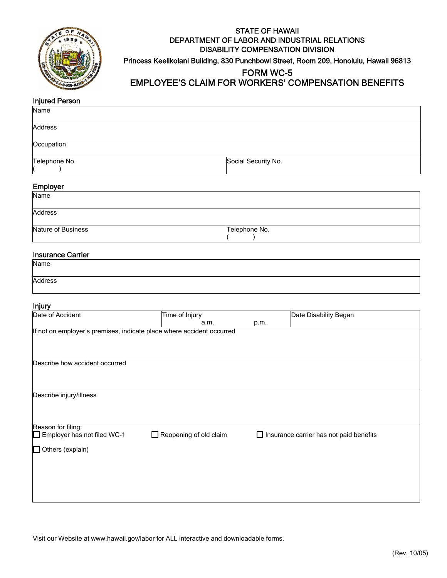

# STATE OF HAWAII DEPARTMENT OF LABOR AND INDUSTRIAL RELATIONS DISABILITY COMPENSATION DIVISION Princess Keelikolani Building, 830 Punchbowl Street, Room 209, Honolulu, Hawaii 96813

# FORM WC-5 EMPLOYEE'S CLAIM FOR WORKERS' COMPENSATION BENEFITS

## Injured Person

| Name          |                     |
|---------------|---------------------|
| Address       |                     |
| Occupation    |                     |
| Telephone No. | Social Security No. |

#### Employer

| the contract of the contract of the contract of the contract of the contract of<br>Name |               |
|-----------------------------------------------------------------------------------------|---------------|
|                                                                                         |               |
| Address                                                                                 |               |
| Nature of Business                                                                      | Telephone No. |
|                                                                                         |               |

#### Insurance Carrier

| Name    |  |  |
|---------|--|--|
|         |  |  |
| Address |  |  |
|         |  |  |

#### Injury

| Date of Accident                                                             | Time of Injury                |      | Date Disability Began                          |
|------------------------------------------------------------------------------|-------------------------------|------|------------------------------------------------|
|                                                                              | a.m.                          | p.m. |                                                |
| If not on employer's premises, indicate place where accident occurred        |                               |      |                                                |
| Describe how accident occurred                                               |                               |      |                                                |
| Describe injury/illness                                                      |                               |      |                                                |
| Reason for filing:<br>Employer has not filed WC-1<br>$\Box$ Others (explain) | $\Box$ Reopening of old claim |      | $\Box$ Insurance carrier has not paid benefits |